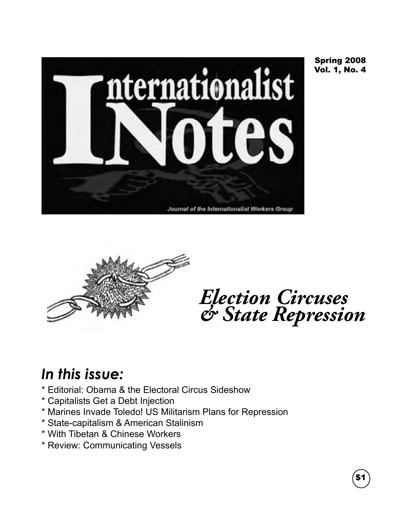

Spring 2008 Vol. 1, No. 4



*Election Circuses & State Repression*

### *In this issue:*

- \* Editorial: Obama & the Electoral Circus Sideshow
- \* Capitalists Get a Debt Injection
- \* Marines Invade Toledo! US Militarism Plans for Repression
- \* State-capitalism & American Stalinism
- \* With Tibetan & Chinese Workers
- \* Review: Communicating Vessels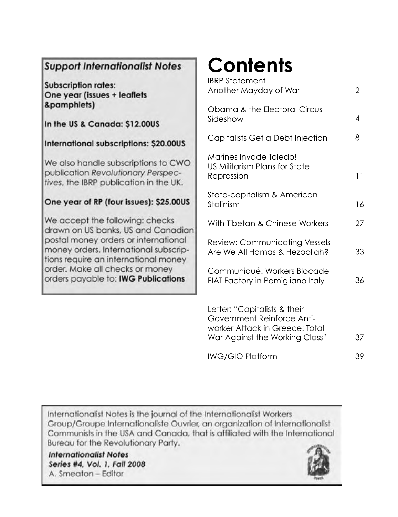### **Support Internationalist Notes**

**Subscription rates:** One year (issues + leaflets &pamphlets)

In the US & Canada: \$12,00US

International subscriptions: \$20.00US

We also handle subscriptions to CWO publication Revolutionary Perspectives, the IBRP publication in the UK.

### One year of RP (four issues): \$25.00US

We accept the following: checks drawn on US banks, US and Canadian postal money orders or international money orders. International subscriptions require an international money order. Make all checks or money orders payable to: IWG Publications

# **Contents**

| <b>IBRP Statement</b><br>Another Mayday of War                                                                                 | 2  |
|--------------------------------------------------------------------------------------------------------------------------------|----|
| Obama & the Electoral Circus<br>Sideshow                                                                                       | 4  |
| Capitalists Get a Debt Injection                                                                                               | 8  |
| Marines Invade Toledo!<br>US Militarism Plans for State<br>Repression                                                          | 11 |
| State-capitalism & American<br>Stalinism                                                                                       | 16 |
| With Tibetan & Chinese Workers                                                                                                 | 27 |
| <b>Review: Communicating Vessels</b><br>Are We All Hamas & Hezbollah?                                                          | 33 |
| Communiqué: Workers Blocade<br>FIAT Factory in Pomigliano Italy                                                                | 36 |
| Letter: "Capitalists & their<br>Government Reinforce Anti-<br>worker Attack in Greece: Total<br>War Against the Working Class" | 37 |
| <b>IWG/GIO Platform</b>                                                                                                        | 39 |

Internationalist Notes is the journal of the Internationalist Workers Group/Groupe Internationaliste Ouvrier, an organization of Internationalist Communists in the USA and Canada, that is affiliated with the International Bureau for the Revolutionary Party.

**Internationalist Notes** Series #4, Vol. 1, Fall 2008 A. Smeaton - Editor

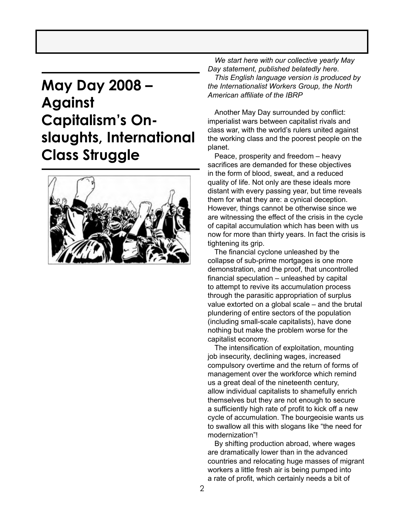### **May Day 2008 – Against Capitalism's Onslaughts, International Class Struggle**



*We start here with our collective yearly May Day statement, published belatedly here. This English language version is produced by the Internationalist Workers Group, the North American affiliate of the IBRP*

Another May Day surrounded by conflict: imperialist wars between capitalist rivals and class war, with the world's rulers united against the working class and the poorest people on the planet.

Peace, prosperity and freedom – heavy sacrifices are demanded for these objectives in the form of blood, sweat, and a reduced quality of life. Not only are these ideals more distant with every passing year, but time reveals them for what they are: a cynical deception. However, things cannot be otherwise since we are witnessing the effect of the crisis in the cycle of capital accumulation which has been with us now for more than thirty years. In fact the crisis is tightening its grip.

 The financial cyclone unleashed by the collapse of sub-prime mortgages is one more demonstration, and the proof, that uncontrolled financial speculation – unleashed by capital to attempt to revive its accumulation process through the parasitic appropriation of surplus value extorted on a global scale – and the brutal plundering of entire sectors of the population (including small-scale capitalists), have done nothing but make the problem worse for the capitalist economy.

The intensification of exploitation, mounting job insecurity, declining wages, increased compulsory overtime and the return of forms of management over the workforce which remind us a great deal of the nineteenth century, allow individual capitalists to shamefully enrich themselves but they are not enough to secure a sufficiently high rate of profit to kick off a new cycle of accumulation. The bourgeoisie wants us to swallow all this with slogans like "the need for modernization"!

By shifting production abroad, where wages are dramatically lower than in the advanced countries and relocating huge masses of migrant workers a little fresh air is being pumped into a rate of profit, which certainly needs a bit of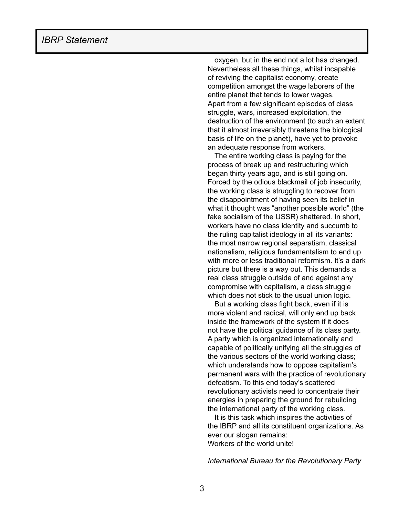oxygen, but in the end not a lot has changed. Nevertheless all these things, whilst incapable of reviving the capitalist economy, create competition amongst the wage laborers of the entire planet that tends to lower wages. Apart from a few significant episodes of class struggle, wars, increased exploitation, the destruction of the environment (to such an extent that it almost irreversibly threatens the biological basis of life on the planet), have yet to provoke an adequate response from workers.

The entire working class is paying for the process of break up and restructuring which began thirty years ago, and is still going on. Forced by the odious blackmail of job insecurity, the working class is struggling to recover from the disappointment of having seen its belief in what it thought was "another possible world" (the fake socialism of the USSR) shattered. In short, workers have no class identity and succumb to the ruling capitalist ideology in all its variants: the most narrow regional separatism, classical nationalism, religious fundamentalism to end up with more or less traditional reformism. It's a dark picture but there is a way out. This demands a real class struggle outside of and against any compromise with capitalism, a class struggle which does not stick to the usual union logic.

But a working class fight back, even if it is more violent and radical, will only end up back inside the framework of the system if it does not have the political guidance of its class party. A party which is organized internationally and capable of politically unifying all the struggles of the various sectors of the world working class; which understands how to oppose capitalism's permanent wars with the practice of revolutionary defeatism. To this end today's scattered revolutionary activists need to concentrate their energies in preparing the ground for rebuilding the international party of the working class.

It is this task which inspires the activities of the IBRP and all its constituent organizations. As ever our slogan remains: Workers of the world unite!

*International Bureau for the Revolutionary Party*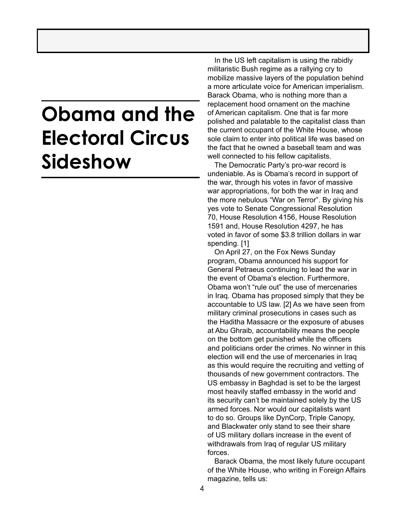## **Obama and the Electoral Circus Sideshow**

In the US left capitalism is using the rabidly militaristic Bush regime as a rallying cry to mobilize massive layers of the population behind a more articulate voice for American imperialism. Barack Obama, who is nothing more than a replacement hood ornament on the machine of American capitalism. One that is far more polished and palatable to the capitalist class than the current occupant of the White House, whose sole claim to enter into political life was based on the fact that he owned a baseball team and was well connected to his fellow capitalists.

The Democratic Party's pro-war record is undeniable. As is Obama's record in support of the war, through his votes in favor of massive war appropriations, for both the war in Iraq and the more nebulous "War on Terror". By giving his yes vote to Senate Congressional Resolution 70, House Resolution 4156, House Resolution 1591 and, House Resolution 4297, he has voted in favor of some \$3.8 trillion dollars in war spending. [1]

On April 27, on the Fox News Sunday program, Obama announced his support for General Petraeus continuing to lead the war in the event of Obama's election. Furthermore, Obama won't "rule out" the use of mercenaries in Iraq. Obama has proposed simply that they be accountable to US law. [2] As we have seen from military criminal prosecutions in cases such as the Haditha Massacre or the exposure of abuses at Abu Ghraib, accountability means the people on the bottom get punished while the officers and politicians order the crimes. No winner in this election will end the use of mercenaries in Iraq as this would require the recruiting and vetting of thousands of new government contractors. The US embassy in Baghdad is set to be the largest most heavily staffed embassy in the world and its security can't be maintained solely by the US armed forces. Nor would our capitalists want to do so. Groups like DynCorp, Triple Canopy, and Blackwater only stand to see their share of US military dollars increase in the event of withdrawals from Iraq of regular US military forces.

Barack Obama, the most likely future occupant of the White House, who writing in Foreign Affairs magazine, tells us: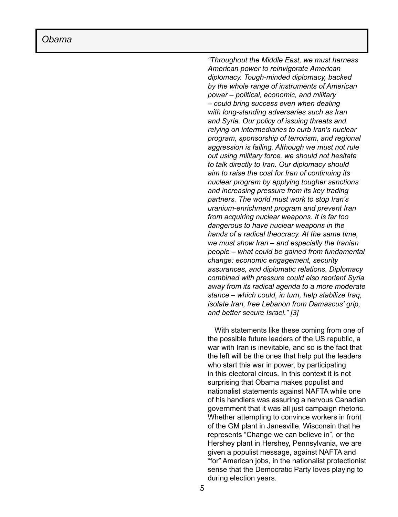*"Throughout the Middle East, we must harness American power to reinvigorate American diplomacy. Tough-minded diplomacy, backed by the whole range of instruments of American power – political, economic, and military – could bring success even when dealing with long-standing adversaries such as Iran and Syria. Our policy of issuing threats and relying on intermediaries to curb Iran's nuclear program, sponsorship of terrorism, and regional aggression is failing. Although we must not rule out using military force, we should not hesitate to talk directly to Iran. Our diplomacy should aim to raise the cost for Iran of continuing its nuclear program by applying tougher sanctions and increasing pressure from its key trading partners. The world must work to stop Iran's uranium-enrichment program and prevent Iran from acquiring nuclear weapons. It is far too dangerous to have nuclear weapons in the hands of a radical theocracy. At the same time, we must show Iran – and especially the Iranian people – what could be gained from fundamental change: economic engagement, security assurances, and diplomatic relations. Diplomacy combined with pressure could also reorient Syria away from its radical agenda to a more moderate stance – which could, in turn, help stabilize Iraq, isolate Iran, free Lebanon from Damascus' grip, and better secure Israel." [3]*

With statements like these coming from one of the possible future leaders of the US republic, a war with Iran is inevitable, and so is the fact that the left will be the ones that help put the leaders who start this war in power, by participating in this electoral circus. In this context it is not surprising that Obama makes populist and nationalist statements against NAFTA while one of his handlers was assuring a nervous Canadian government that it was all just campaign rhetoric. Whether attempting to convince workers in front of the GM plant in Janesville, Wisconsin that he represents "Change we can believe in", or the Hershey plant in Hershey, Pennsylvania, we are given a populist message, against NAFTA and "for" American jobs, in the nationalist protectionist sense that the Democratic Party loves playing to during election years.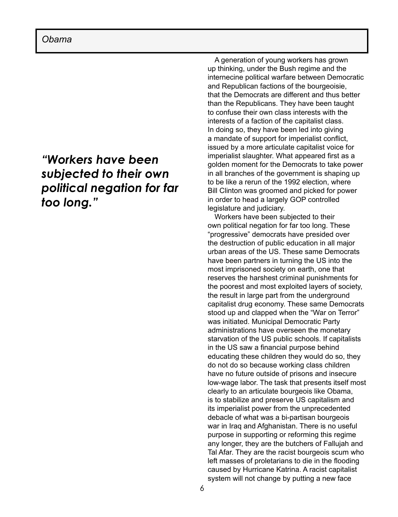### *"Workers have been subjected to their own political negation for far too long."*

A generation of young workers has grown up thinking, under the Bush regime and the internecine political warfare between Democratic and Republican factions of the bourgeoisie, that the Democrats are different and thus better than the Republicans. They have been taught to confuse their own class interests with the interests of a faction of the capitalist class. In doing so, they have been led into giving a mandate of support for imperialist conflict, issued by a more articulate capitalist voice for imperialist slaughter. What appeared first as a golden moment for the Democrats to take power in all branches of the government is shaping up to be like a rerun of the 1992 election, where Bill Clinton was groomed and picked for power in order to head a largely GOP controlled legislature and judiciary.

Workers have been subjected to their own political negation for far too long. These "progressive" democrats have presided over the destruction of public education in all major urban areas of the US. These same Democrats have been partners in turning the US into the most imprisoned society on earth, one that reserves the harshest criminal punishments for the poorest and most exploited layers of society, the result in large part from the underground capitalist drug economy. These same Democrats stood up and clapped when the "War on Terror" was initiated. Municipal Democratic Party administrations have overseen the monetary starvation of the US public schools. If capitalists in the US saw a financial purpose behind educating these children they would do so, they do not do so because working class children have no future outside of prisons and insecure low-wage labor. The task that presents itself most clearly to an articulate bourgeois like Obama, is to stabilize and preserve US capitalism and its imperialist power from the unprecedented debacle of what was a bi-partisan bourgeois war in Iraq and Afghanistan. There is no useful purpose in supporting or reforming this regime any longer, they are the butchers of Fallujah and Tal Afar. They are the racist bourgeois scum who left masses of proletarians to die in the flooding caused by Hurricane Katrina. A racist capitalist system will not change by putting a new face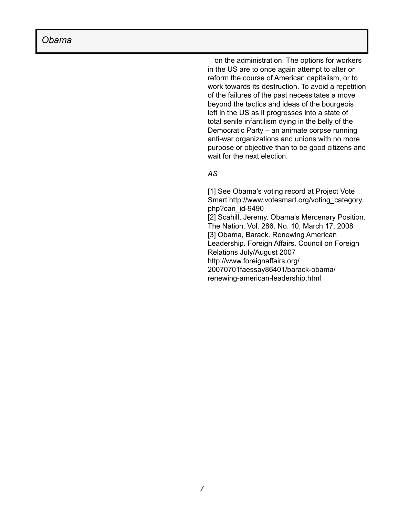on the administration. The options for workers in the US are to once again attempt to alter or reform the course of American capitalism, or to work towards its destruction. To avoid a repetition of the failures of the past necessitates a move beyond the tactics and ideas of the bourgeois left in the US as it progresses into a state of total senile infantilism dying in the belly of the Democratic Party – an animate corpse running anti-war organizations and unions with no more purpose or objective than to be good citizens and wait for the next election.

### *AS*

[1] See Obama's voting record at Project Vote Smart http://www.votesmart.org/voting\_category. php?can\_id-9490 [2] Scahill, Jeremy. Obama's Mercenary Position. The Nation. Vol. 286. No. 10, March 17, 2008 [3] Obama, Barack. Renewing American Leadership. Foreign Affairs. Council on Foreign Relations July/August 2007 http://www.foreignaffairs.org/ 20070701faessay86401/barack-obama/ renewing-american-leadership.html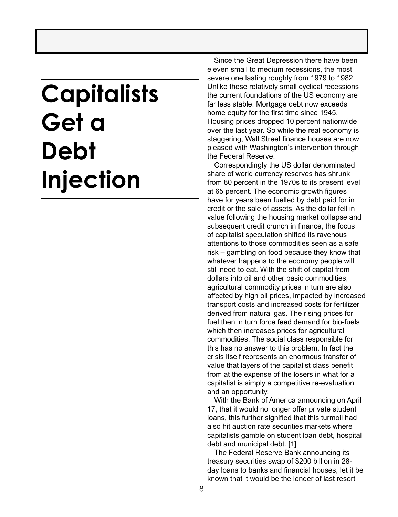# **Capitalists Get a Debt Injection**

 Since the Great Depression there have been eleven small to medium recessions, the most severe one lasting roughly from 1979 to 1982. Unlike these relatively small cyclical recessions the current foundations of the US economy are far less stable. Mortgage debt now exceeds home equity for the first time since 1945. Housing prices dropped 10 percent nationwide over the last year. So while the real economy is staggering, Wall Street finance houses are now pleased with Washington's intervention through the Federal Reserve.

Correspondingly the US dollar denominated share of world currency reserves has shrunk from 80 percent in the 1970s to its present level at 65 percent. The economic growth figures have for years been fuelled by debt paid for in credit or the sale of assets. As the dollar fell in value following the housing market collapse and subsequent credit crunch in finance, the focus of capitalist speculation shifted its ravenous attentions to those commodities seen as a safe risk – gambling on food because they know that whatever happens to the economy people will still need to eat. With the shift of capital from dollars into oil and other basic commodities, agricultural commodity prices in turn are also affected by high oil prices, impacted by increased transport costs and increased costs for fertilizer derived from natural gas. The rising prices for fuel then in turn force feed demand for bio-fuels which then increases prices for agricultural commodities. The social class responsible for this has no answer to this problem. In fact the crisis itself represents an enormous transfer of value that layers of the capitalist class benefit from at the expense of the losers in what for a capitalist is simply a competitive re-evaluation and an opportunity.

With the Bank of America announcing on April 17, that it would no longer offer private student loans, this further signified that this turmoil had also hit auction rate securities markets where capitalists gamble on student loan debt, hospital debt and municipal debt. [1]

The Federal Reserve Bank announcing its treasury securities swap of \$200 billion in 28 day loans to banks and financial houses, let it be known that it would be the lender of last resort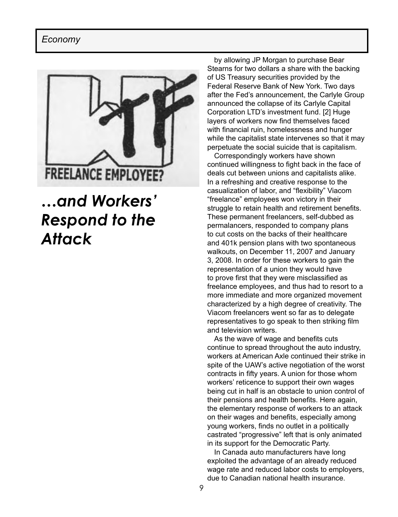### *Economy*



### *…and Workers' Respond to the Attack*

by allowing JP Morgan to purchase Bear Stearns for two dollars a share with the backing of US Treasury securities provided by the Federal Reserve Bank of New York. Two days after the Fed's announcement, the Carlyle Group announced the collapse of its Carlyle Capital Corporation LTD's investment fund. [2] Huge layers of workers now find themselves faced with financial ruin, homelessness and hunger while the capitalist state intervenes so that it may perpetuate the social suicide that is capitalism.

Correspondingly workers have shown continued willingness to fight back in the face of deals cut between unions and capitalists alike. In a refreshing and creative response to the casualization of labor, and "flexibility" Viacom "freelance" employees won victory in their struggle to retain health and retirement benefits. These permanent freelancers, self-dubbed as permalancers, responded to company plans to cut costs on the backs of their healthcare and 401k pension plans with two spontaneous walkouts, on December 11, 2007 and January 3, 2008. In order for these workers to gain the representation of a union they would have to prove first that they were misclassified as freelance employees, and thus had to resort to a more immediate and more organized movement characterized by a high degree of creativity. The Viacom freelancers went so far as to delegate representatives to go speak to then striking film and television writers.

As the wave of wage and benefits cuts continue to spread throughout the auto industry, workers at American Axle continued their strike in spite of the UAW's active negotiation of the worst contracts in fifty years. A union for those whom workers' reticence to support their own wages being cut in half is an obstacle to union control of their pensions and health benefits. Here again, the elementary response of workers to an attack on their wages and benefits, especially among young workers, finds no outlet in a politically castrated "progressive" left that is only animated in its support for the Democratic Party.

In Canada auto manufacturers have long exploited the advantage of an already reduced wage rate and reduced labor costs to employers, due to Canadian national health insurance.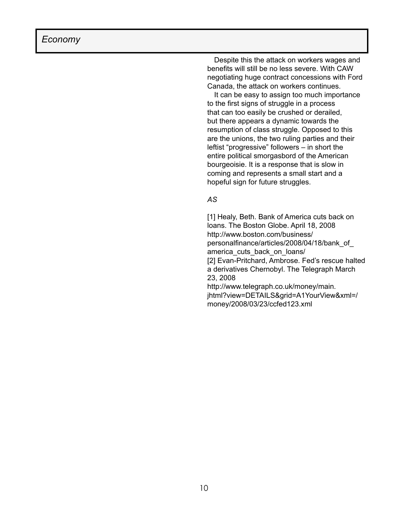Despite this the attack on workers wages and benefits will still be no less severe. With CAW negotiating huge contract concessions with Ford Canada, the attack on workers continues.

It can be easy to assign too much importance to the first signs of struggle in a process that can too easily be crushed or derailed, but there appears a dynamic towards the resumption of class struggle. Opposed to this are the unions, the two ruling parties and their leftist "progressive" followers – in short the entire political smorgasbord of the American bourgeoisie. It is a response that is slow in coming and represents a small start and a hopeful sign for future struggles.

#### *AS*

[1] Healy, Beth. Bank of America cuts back on loans. The Boston Globe. April 18, 2008 http://www.boston.com/business/ personalfinance/articles/2008/04/18/bank\_of\_ america\_cuts\_back\_on\_loans/ [2] Evan-Pritchard, Ambrose. Fed's rescue halted a derivatives Chernobyl. The Telegraph March 23, 2008 http://www.telegraph.co.uk/money/main.

jhtml?view=DETAILS&grid=A1YourView&xml=/ money/2008/03/23/ccfed123.xml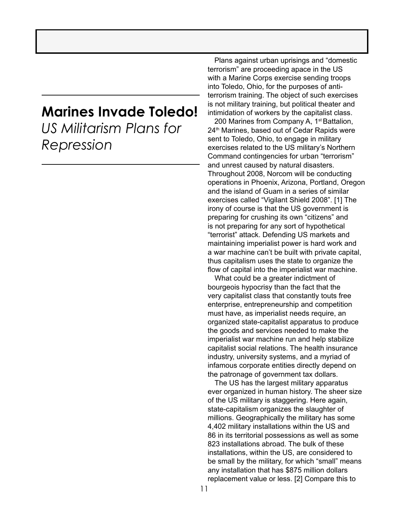### **Marines Invade Toledo!**

*US Militarism Plans for Repression*

 Plans against urban uprisings and "domestic terrorism" are proceeding apace in the US with a Marine Corps exercise sending troops into Toledo, Ohio, for the purposes of antiterrorism training. The object of such exercises is not military training, but political theater and intimidation of workers by the capitalist class.

200 Marines from Company A, 1<sup>st</sup> Battalion, 24<sup>th</sup> Marines, based out of Cedar Rapids were sent to Toledo, Ohio, to engage in military exercises related to the US military's Northern Command contingencies for urban "terrorism" and unrest caused by natural disasters. Throughout 2008, Norcom will be conducting operations in Phoenix, Arizona, Portland, Oregon and the island of Guam in a series of similar exercises called "Vigilant Shield 2008". [1] The irony of course is that the US government is preparing for crushing its own "citizens" and is not preparing for any sort of hypothetical "terrorist" attack. Defending US markets and maintaining imperialist power is hard work and a war machine can't be built with private capital, thus capitalism uses the state to organize the flow of capital into the imperialist war machine.

What could be a greater indictment of bourgeois hypocrisy than the fact that the very capitalist class that constantly touts free enterprise, entrepreneurship and competition must have, as imperialist needs require, an organized state-capitalist apparatus to produce the goods and services needed to make the imperialist war machine run and help stabilize capitalist social relations. The health insurance industry, university systems, and a myriad of infamous corporate entities directly depend on the patronage of government tax dollars.

The US has the largest military apparatus ever organized in human history. The sheer size of the US military is staggering. Here again, state-capitalism organizes the slaughter of millions. Geographically the military has some 4,402 military installations within the US and 86 in its territorial possessions as well as some 823 installations abroad. The bulk of these installations, within the US, are considered to be small by the military, for which "small" means any installation that has \$875 million dollars replacement value or less. [2] Compare this to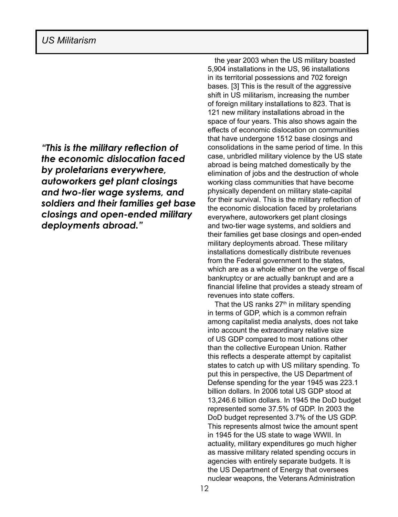*"This is the military reflection of the economic dislocation faced by proletarians everywhere, autoworkers get plant closings and two-tier wage systems, and soldiers and their families get base closings and open-ended military deployments abroad."* 

the year 2003 when the US military boasted 5,904 installations in the US, 96 installations in its territorial possessions and 702 foreign bases. [3] This is the result of the aggressive shift in US militarism, increasing the number of foreign military installations to 823. That is 121 new military installations abroad in the space of four years. This also shows again the effects of economic dislocation on communities that have undergone 1512 base closings and consolidations in the same period of time. In this case, unbridled military violence by the US state abroad is being matched domestically by the elimination of jobs and the destruction of whole working class communities that have become physically dependent on military state-capital for their survival. This is the military reflection of the economic dislocation faced by proletarians everywhere, autoworkers get plant closings and two-tier wage systems, and soldiers and their families get base closings and open-ended military deployments abroad. These military installations domestically distribute revenues from the Federal government to the states, which are as a whole either on the verge of fiscal bankruptcy or are actually bankrupt and are a financial lifeline that provides a steady stream of revenues into state coffers.

That the US ranks  $27<sup>th</sup>$  in military spending in terms of GDP, which is a common refrain among capitalist media analysts, does not take into account the extraordinary relative size of US GDP compared to most nations other than the collective European Union. Rather this reflects a desperate attempt by capitalist states to catch up with US military spending. To put this in perspective, the US Department of Defense spending for the year 1945 was 223.1 billion dollars. In 2006 total US GDP stood at 13,246.6 billion dollars. In 1945 the DoD budget represented some 37.5% of GDP. In 2003 the DoD budget represented 3.7% of the US GDP. This represents almost twice the amount spent in 1945 for the US state to wage WWII. In actuality, military expenditures go much higher as massive military related spending occurs in agencies with entirely separate budgets. It is the US Department of Energy that oversees nuclear weapons, the Veterans Administration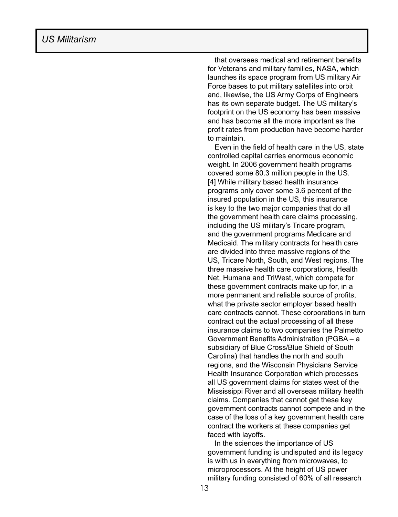that oversees medical and retirement benefits for Veterans and military families, NASA, which launches its space program from US military Air Force bases to put military satellites into orbit and, likewise, the US Army Corps of Engineers has its own separate budget. The US military's footprint on the US economy has been massive and has become all the more important as the profit rates from production have become harder to maintain.

Even in the field of health care in the US, state controlled capital carries enormous economic weight. In 2006 government health programs covered some 80.3 million people in the US. [4] While military based health insurance programs only cover some 3.6 percent of the insured population in the US, this insurance is key to the two major companies that do all the government health care claims processing, including the US military's Tricare program, and the government programs Medicare and Medicaid. The military contracts for health care are divided into three massive regions of the US, Tricare North, South, and West regions. The three massive health care corporations, Health Net, Humana and TriWest, which compete for these government contracts make up for, in a more permanent and reliable source of profits, what the private sector employer based health care contracts cannot. These corporations in turn contract out the actual processing of all these insurance claims to two companies the Palmetto Government Benefits Administration (PGBA – a subsidiary of Blue Cross/Blue Shield of South Carolina) that handles the north and south regions, and the Wisconsin Physicians Service Health Insurance Corporation which processes all US government claims for states west of the Mississippi River and all overseas military health claims. Companies that cannot get these key government contracts cannot compete and in the case of the loss of a key government health care contract the workers at these companies get faced with layoffs.

In the sciences the importance of US government funding is undisputed and its legacy is with us in everything from microwaves, to microprocessors. At the height of US power military funding consisted of 60% of all research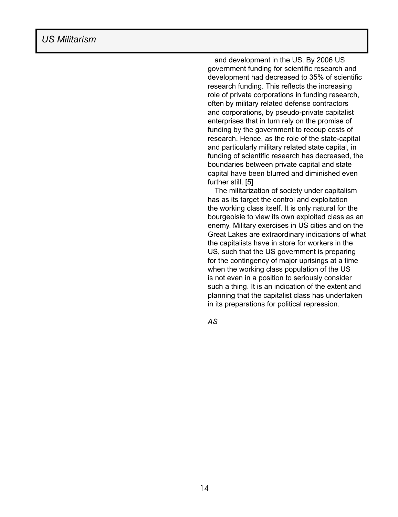and development in the US. By 2006 US government funding for scientific research and development had decreased to 35% of scientific research funding. This reflects the increasing role of private corporations in funding research, often by military related defense contractors and corporations, by pseudo-private capitalist enterprises that in turn rely on the promise of funding by the government to recoup costs of research. Hence, as the role of the state-capital and particularly military related state capital, in funding of scientific research has decreased, the boundaries between private capital and state capital have been blurred and diminished even further still. [5]

The militarization of society under capitalism has as its target the control and exploitation the working class itself. It is only natural for the bourgeoisie to view its own exploited class as an enemy. Military exercises in US cities and on the Great Lakes are extraordinary indications of what the capitalists have in store for workers in the US, such that the US government is preparing for the contingency of major uprisings at a time when the working class population of the US is not even in a position to seriously consider such a thing. It is an indication of the extent and planning that the capitalist class has undertaken in its preparations for political repression.

*AS*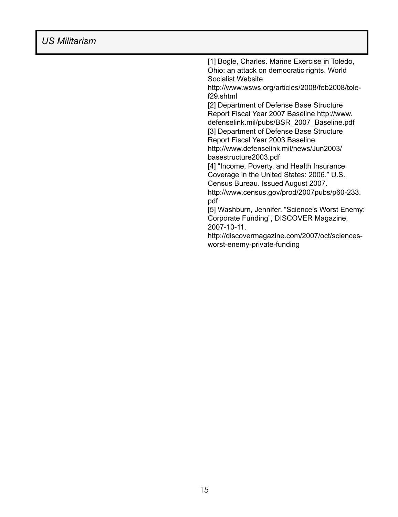[1] Bogle, Charles. Marine Exercise in Toledo, Ohio: an attack on democratic rights. World Socialist Website http://www.wsws.org/articles/2008/feb2008/tolef29.shtml [2] Department of Defense Base Structure Report Fiscal Year 2007 Baseline http://www. defenselink.mil/pubs/BSR\_2007\_Baseline.pdf [3] Department of Defense Base Structure Report Fiscal Year 2003 Baseline http://www.defenselink.mil/news/Jun2003/ basestructure2003.pdf [4] "Income, Poverty, and Health Insurance Coverage in the United States: 2006." U.S. Census Bureau. Issued August 2007. http://www.census.gov/prod/2007pubs/p60-233. pdf [5] Washburn, Jennifer. "Science's Worst Enemy: Corporate Funding", DISCOVER Magazine, 2007-10-11. http://discovermagazine.com/2007/oct/sciencesworst-enemy-private-funding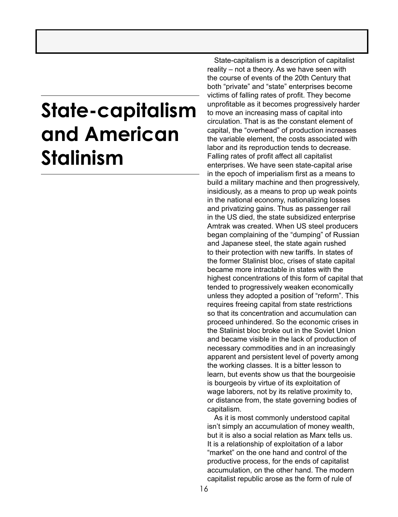# **State-capitalism and American Stalinism**

State-capitalism is a description of capitalist reality – not a theory. As we have seen with the course of events of the 20th Century that both "private" and "state" enterprises become victims of falling rates of profit. They become unprofitable as it becomes progressively harder to move an increasing mass of capital into circulation. That is as the constant element of capital, the "overhead" of production increases the variable element, the costs associated with labor and its reproduction tends to decrease. Falling rates of profit affect all capitalist enterprises. We have seen state-capital arise in the epoch of imperialism first as a means to build a military machine and then progressively, insidiously, as a means to prop up weak points in the national economy, nationalizing losses and privatizing gains. Thus as passenger rail in the US died, the state subsidized enterprise Amtrak was created. When US steel producers began complaining of the "dumping" of Russian and Japanese steel, the state again rushed to their protection with new tariffs. In states of the former Stalinist bloc, crises of state capital became more intractable in states with the highest concentrations of this form of capital that tended to progressively weaken economically unless they adopted a position of "reform". This requires freeing capital from state restrictions so that its concentration and accumulation can proceed unhindered. So the economic crises in the Stalinist bloc broke out in the Soviet Union and became visible in the lack of production of necessary commodities and in an increasingly apparent and persistent level of poverty among the working classes. It is a bitter lesson to learn, but events show us that the bourgeoisie is bourgeois by virtue of its exploitation of wage laborers, not by its relative proximity to, or distance from, the state governing bodies of capitalism.

As it is most commonly understood capital isn't simply an accumulation of money wealth, but it is also a social relation as Marx tells us. It is a relationship of exploitation of a labor "market" on the one hand and control of the productive process, for the ends of capitalist accumulation, on the other hand. The modern capitalist republic arose as the form of rule of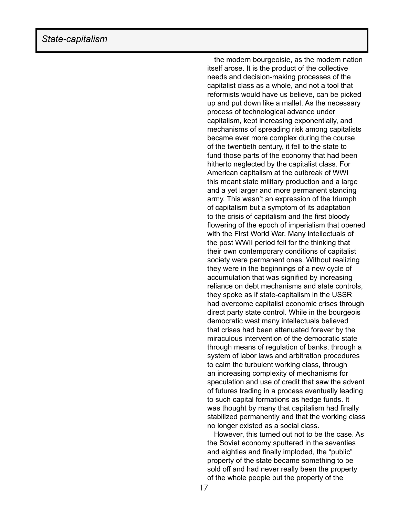the modern bourgeoisie, as the modern nation itself arose. It is the product of the collective needs and decision-making processes of the capitalist class as a whole, and not a tool that reformists would have us believe, can be picked up and put down like a mallet. As the necessary process of technological advance under capitalism, kept increasing exponentially, and mechanisms of spreading risk among capitalists became ever more complex during the course of the twentieth century, it fell to the state to fund those parts of the economy that had been hitherto neglected by the capitalist class. For American capitalism at the outbreak of WWI this meant state military production and a large and a yet larger and more permanent standing army. This wasn't an expression of the triumph of capitalism but a symptom of its adaptation to the crisis of capitalism and the first bloody flowering of the epoch of imperialism that opened with the First World War. Many intellectuals of the post WWII period fell for the thinking that their own contemporary conditions of capitalist society were permanent ones. Without realizing they were in the beginnings of a new cycle of accumulation that was signified by increasing reliance on debt mechanisms and state controls, they spoke as if state-capitalism in the USSR had overcome capitalist economic crises through direct party state control. While in the bourgeois democratic west many intellectuals believed that crises had been attenuated forever by the miraculous intervention of the democratic state through means of regulation of banks, through a system of labor laws and arbitration procedures to calm the turbulent working class, through an increasing complexity of mechanisms for speculation and use of credit that saw the advent of futures trading in a process eventually leading to such capital formations as hedge funds. It was thought by many that capitalism had finally stabilized permanently and that the working class no longer existed as a social class.

 However, this turned out not to be the case. As the Soviet economy sputtered in the seventies and eighties and finally imploded, the "public" property of the state became something to be sold off and had never really been the property of the whole people but the property of the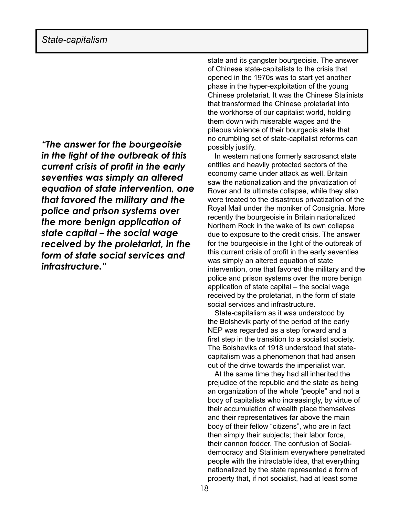*"The answer for the bourgeoisie in the light of the outbreak of this current crisis of profit in the early seventies was simply an altered equation of state intervention, one that favored the military and the police and prison systems over the more benign application of state capital – the social wage received by the proletariat, in the form of state social services and infrastructure."*

state and its gangster bourgeoisie. The answer of Chinese state-capitalists to the crisis that opened in the 1970s was to start yet another phase in the hyper-exploitation of the young Chinese proletariat. It was the Chinese Stalinists that transformed the Chinese proletariat into the workhorse of our capitalist world, holding them down with miserable wages and the piteous violence of their bourgeois state that no crumbling set of state-capitalist reforms can possibly justify.

In western nations formerly sacrosanct state entities and heavily protected sectors of the economy came under attack as well. Britain saw the nationalization and the privatization of Rover and its ultimate collapse, while they also were treated to the disastrous privatization of the Royal Mail under the moniker of Consignia. More recently the bourgeoisie in Britain nationalized Northern Rock in the wake of its own collapse due to exposure to the credit crisis. The answer for the bourgeoisie in the light of the outbreak of this current crisis of profit in the early seventies was simply an altered equation of state intervention, one that favored the military and the police and prison systems over the more benign application of state capital – the social wage received by the proletariat, in the form of state social services and infrastructure.

State-capitalism as it was understood by the Bolshevik party of the period of the early NEP was regarded as a step forward and a first step in the transition to a socialist society. The Bolsheviks of 1918 understood that statecapitalism was a phenomenon that had arisen out of the drive towards the imperialist war.

At the same time they had all inherited the prejudice of the republic and the state as being an organization of the whole "people" and not a body of capitalists who increasingly, by virtue of their accumulation of wealth place themselves and their representatives far above the main body of their fellow "citizens", who are in fact then simply their subjects; their labor force, their cannon fodder. The confusion of Socialdemocracy and Stalinism everywhere penetrated people with the intractable idea, that everything nationalized by the state represented a form of property that, if not socialist, had at least some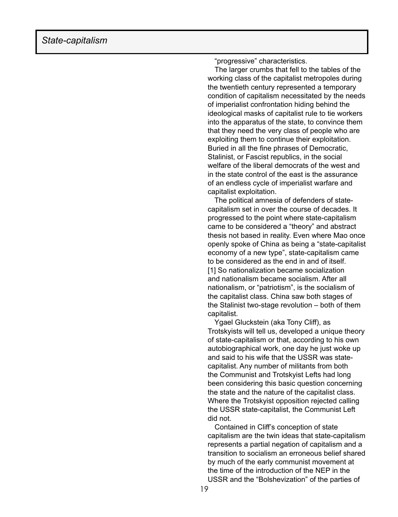"progressive" characteristics.

The larger crumbs that fell to the tables of the working class of the capitalist metropoles during the twentieth century represented a temporary condition of capitalism necessitated by the needs of imperialist confrontation hiding behind the ideological masks of capitalist rule to tie workers into the apparatus of the state, to convince them that they need the very class of people who are exploiting them to continue their exploitation. Buried in all the fine phrases of Democratic, Stalinist, or Fascist republics, in the social welfare of the liberal democrats of the west and in the state control of the east is the assurance of an endless cycle of imperialist warfare and capitalist exploitation.

 The political amnesia of defenders of statecapitalism set in over the course of decades. It progressed to the point where state-capitalism came to be considered a "theory" and abstract thesis not based in reality. Even where Mao once openly spoke of China as being a "state-capitalist economy of a new type", state-capitalism came to be considered as the end in and of itself. [1] So nationalization became socialization and nationalism became socialism. After all nationalism, or "patriotism", is the socialism of the capitalist class. China saw both stages of the Stalinist two-stage revolution – both of them capitalist.

 Ygael Gluckstein (aka Tony Cliff), as Trotskyists will tell us, developed a unique theory of state-capitalism or that, according to his own autobiographical work, one day he just woke up and said to his wife that the USSR was statecapitalist. Any number of militants from both the Communist and Trotskyist Lefts had long been considering this basic question concerning the state and the nature of the capitalist class. Where the Trotskyist opposition rejected calling the USSR state-capitalist, the Communist Left did not.

Contained in Cliff's conception of state capitalism are the twin ideas that state-capitalism represents a partial negation of capitalism and a transition to socialism an erroneous belief shared by much of the early communist movement at the time of the introduction of the NEP in the USSR and the "Bolshevization" of the parties of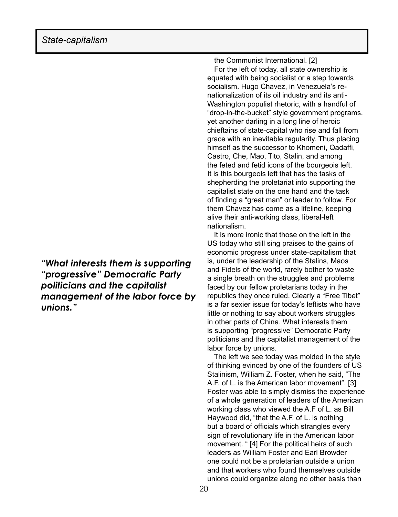*"What interests them is supporting "progressive" Democratic Party politicians and the capitalist management of the labor force by unions."*

the Communist International. [2] For the left of today, all state ownership is equated with being socialist or a step towards socialism. Hugo Chavez, in Venezuela's renationalization of its oil industry and its anti-Washington populist rhetoric, with a handful of "drop-in-the-bucket" style government programs, yet another darling in a long line of heroic chieftains of state-capital who rise and fall from grace with an inevitable regularity. Thus placing himself as the successor to Khomeni, Qadaffi, Castro, Che, Mao, Tito, Stalin, and among the feted and fetid icons of the bourgeois left. It is this bourgeois left that has the tasks of shepherding the proletariat into supporting the capitalist state on the one hand and the task of finding a "great man" or leader to follow. For them Chavez has come as a lifeline, keeping alive their anti-working class, liberal-left nationalism.

 It is more ironic that those on the left in the US today who still sing praises to the gains of economic progress under state-capitalism that is, under the leadership of the Stalins, Maos and Fidels of the world, rarely bother to waste a single breath on the struggles and problems faced by our fellow proletarians today in the republics they once ruled. Clearly a "Free Tibet" is a far sexier issue for today's leftists who have little or nothing to say about workers struggles in other parts of China. What interests them is supporting "progressive" Democratic Party politicians and the capitalist management of the labor force by unions.

 The left we see today was molded in the style of thinking evinced by one of the founders of US Stalinism, William Z. Foster, when he said, "The A.F. of L. is the American labor movement". [3] Foster was able to simply dismiss the experience of a whole generation of leaders of the American working class who viewed the A.F of L. as Bill Haywood did, "that the A.F. of L. is nothing but a board of officials which strangles every sign of revolutionary life in the American labor movement. " [4] For the political heirs of such leaders as William Foster and Earl Browder one could not be a proletarian outside a union and that workers who found themselves outside unions could organize along no other basis than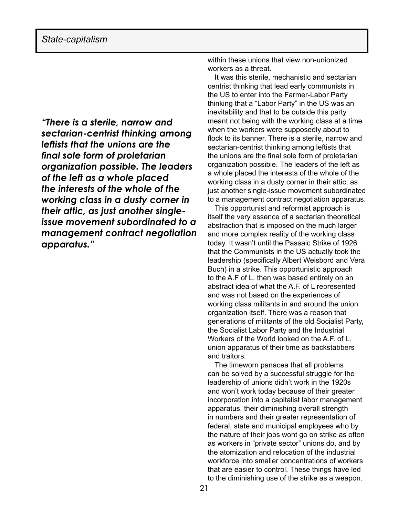*"There is a sterile, narrow and sectarian-centrist thinking among leftists that the unions are the final sole form of proletarian organization possible. The leaders of the left as a whole placed the interests of the whole of the working class in a dusty corner in their attic, as just another singleissue movement subordinated to a management contract negotiation apparatus."* 

within these unions that view non-unionized workers as a threat.

It was this sterile, mechanistic and sectarian centrist thinking that lead early communists in the US to enter into the Farmer-Labor Party thinking that a "Labor Party" in the US was an inevitability and that to be outside this party meant not being with the working class at a time when the workers were supposedly about to flock to its banner. There is a sterile, narrow and sectarian-centrist thinking among leftists that the unions are the final sole form of proletarian organization possible. The leaders of the left as a whole placed the interests of the whole of the working class in a dusty corner in their attic, as just another single-issue movement subordinated to a management contract negotiation apparatus.

This opportunist and reformist approach is itself the very essence of a sectarian theoretical abstraction that is imposed on the much larger and more complex reality of the working class today. It wasn't until the Passaic Strike of 1926 that the Communists in the US actually took the leadership (specifically Albert Weisbord and Vera Buch) in a strike. This opportunistic approach to the A.F of L. then was based entirely on an abstract idea of what the A.F. of L represented and was not based on the experiences of working class militants in and around the union organization itself. There was a reason that generations of militants of the old Socialist Party, the Socialist Labor Party and the Industrial Workers of the World looked on the A.F. of L. union apparatus of their time as backstabbers and traitors.

The timeworn panacea that all problems can be solved by a successful struggle for the leadership of unions didn't work in the 1920s and won't work today because of their greater incorporation into a capitalist labor management apparatus, their diminishing overall strength in numbers and their greater representation of federal, state and municipal employees who by the nature of their jobs wont go on strike as often as workers in "private sector" unions do, and by the atomization and relocation of the industrial workforce into smaller concentrations of workers that are easier to control. These things have led to the diminishing use of the strike as a weapon.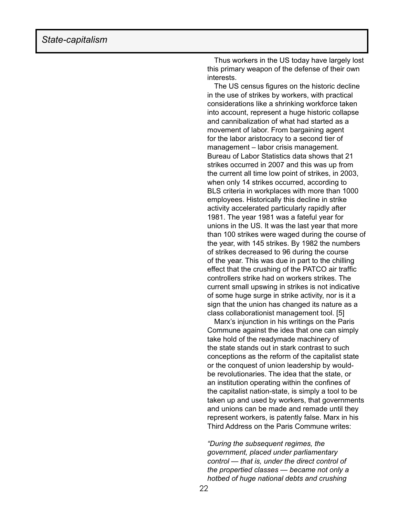Thus workers in the US today have largely lost this primary weapon of the defense of their own interests.

The US census figures on the historic decline in the use of strikes by workers, with practical considerations like a shrinking workforce taken into account, represent a huge historic collapse and cannibalization of what had started as a movement of labor. From bargaining agent for the labor aristocracy to a second tier of management – labor crisis management. Bureau of Labor Statistics data shows that 21 strikes occurred in 2007 and this was up from the current all time low point of strikes, in 2003, when only 14 strikes occurred, according to BLS criteria in workplaces with more than 1000 employees. Historically this decline in strike activity accelerated particularly rapidly after 1981. The year 1981 was a fateful year for unions in the US. It was the last year that more than 100 strikes were waged during the course of the year, with 145 strikes. By 1982 the numbers of strikes decreased to 96 during the course of the year. This was due in part to the chilling effect that the crushing of the PATCO air traffic controllers strike had on workers strikes. The current small upswing in strikes is not indicative of some huge surge in strike activity, nor is it a sign that the union has changed its nature as a class collaborationist management tool. [5]

Marx's injunction in his writings on the Paris Commune against the idea that one can simply take hold of the readymade machinery of the state stands out in stark contrast to such conceptions as the reform of the capitalist state or the conquest of union leadership by wouldbe revolutionaries. The idea that the state, or an institution operating within the confines of the capitalist nation-state, is simply a tool to be taken up and used by workers, that governments and unions can be made and remade until they represent workers, is patently false. Marx in his Third Address on the Paris Commune writes:

*"During the subsequent regimes, the government, placed under parliamentary control — that is, under the direct control of the propertied classes — became not only a hotbed of huge national debts and crushing*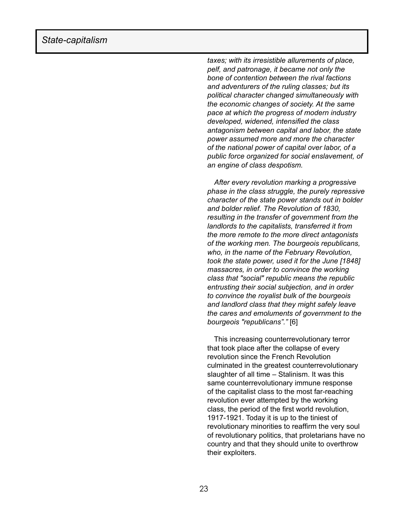*taxes; with its irresistible allurements of place, pelf, and patronage, it became not only the bone of contention between the rival factions and adventurers of the ruling classes; but its political character changed simultaneously with the economic changes of society. At the same pace at which the progress of modern industry developed, widened, intensified the class antagonism between capital and labor, the state power assumed more and more the character of the national power of capital over labor, of a public force organized for social enslavement, of an engine of class despotism.*

*After every revolution marking a progressive phase in the class struggle, the purely repressive character of the state power stands out in bolder and bolder relief. The Revolution of 1830, resulting in the transfer of government from the landlords to the capitalists, transferred it from the more remote to the more direct antagonists of the working men. The bourgeois republicans, who, in the name of the February Revolution, took the state power, used it for the June [1848] massacres, in order to convince the working class that "social" republic means the republic entrusting their social subjection, and in order to convince the royalist bulk of the bourgeois and landlord class that they might safely leave the cares and emoluments of government to the bourgeois "republicans"."* [6]

 This increasing counterrevolutionary terror that took place after the collapse of every revolution since the French Revolution culminated in the greatest counterrevolutionary slaughter of all time – Stalinism. It was this same counterrevolutionary immune response of the capitalist class to the most far-reaching revolution ever attempted by the working class, the period of the first world revolution, 1917-1921. Today it is up to the tiniest of revolutionary minorities to reaffirm the very soul of revolutionary politics, that proletarians have no country and that they should unite to overthrow their exploiters.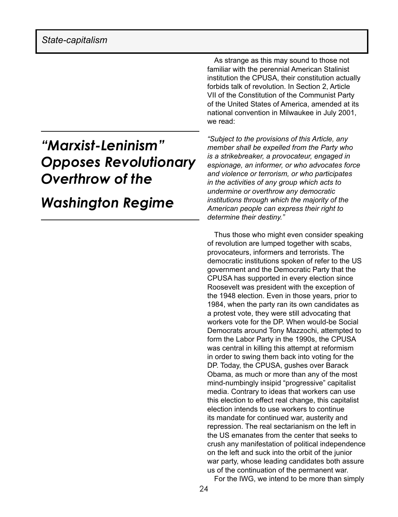### *"Marxist-Leninism" Opposes Revolutionary Overthrow of the Washington Regime*

As strange as this may sound to those not familiar with the perennial American Stalinist institution the CPUSA, their constitution actually forbids talk of revolution. In Section 2, Article VII of the Constitution of the Communist Party of the United States of America, amended at its national convention in Milwaukee in July 2001, we read:

*"Subject to the provisions of this Article, any member shall be expelled from the Party who is a strikebreaker, a provocateur, engaged in espionage, an informer, or who advocates force and violence or terrorism, or who participates in the activities of any group which acts to undermine or overthrow any democratic institutions through which the majority of the American people can express their right to determine their destiny."*

Thus those who might even consider speaking of revolution are lumped together with scabs, provocateurs, informers and terrorists. The democratic institutions spoken of refer to the US government and the Democratic Party that the CPUSA has supported in every election since Roosevelt was president with the exception of the 1948 election. Even in those years, prior to 1984, when the party ran its own candidates as a protest vote, they were still advocating that workers vote for the DP. When would-be Social Democrats around Tony Mazzochi, attempted to form the Labor Party in the 1990s, the CPUSA was central in killing this attempt at reformism in order to swing them back into voting for the DP. Today, the CPUSA, gushes over Barack Obama, as much or more than any of the most mind-numbingly insipid "progressive" capitalist media. Contrary to ideas that workers can use this election to effect real change, this capitalist election intends to use workers to continue its mandate for continued war, austerity and repression. The real sectarianism on the left in the US emanates from the center that seeks to crush any manifestation of political independence on the left and suck into the orbit of the junior war party, whose leading candidates both assure us of the continuation of the permanent war.

For the IWG, we intend to be more than simply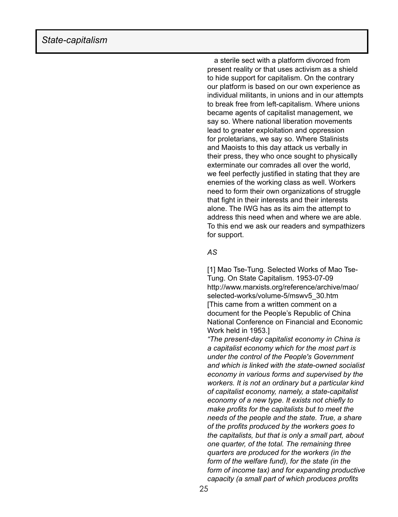a sterile sect with a platform divorced from present reality or that uses activism as a shield to hide support for capitalism. On the contrary our platform is based on our own experience as individual militants, in unions and in our attempts to break free from left-capitalism. Where unions became agents of capitalist management, we say so. Where national liberation movements lead to greater exploitation and oppression for proletarians, we say so. Where Stalinists and Maoists to this day attack us verbally in their press, they who once sought to physically exterminate our comrades all over the world, we feel perfectly justified in stating that they are enemies of the working class as well. Workers need to form their own organizations of struggle that fight in their interests and their interests alone. The IWG has as its aim the attempt to address this need when and where we are able. To this end we ask our readers and sympathizers for support.

#### *AS*

[1] Mao Tse-Tung. Selected Works of Mao Tse-Tung. On State Capitalism. 1953-07-09 http://www.marxists.org/reference/archive/mao/ selected-works/volume-5/mswv5\_30.htm [This came from a written comment on a document for the People's Republic of China National Conference on Financial and Economic Work held in 1953.]

*"The present-day capitalist economy in China is a capitalist economy which for the most part is under the control of the People's Government and which is linked with the state-owned socialist economy in various forms and supervised by the workers. It is not an ordinary but a particular kind of capitalist economy, namely, a state-capitalist economy of a new type. It exists not chiefly to make profits for the capitalists but to meet the needs of the people and the state. True, a share of the profits produced by the workers goes to the capitalists, but that is only a small part, about one quarter, of the total. The remaining three quarters are produced for the workers (in the form of the welfare fund), for the state (in the form of income tax) and for expanding productive capacity (a small part of which produces profits*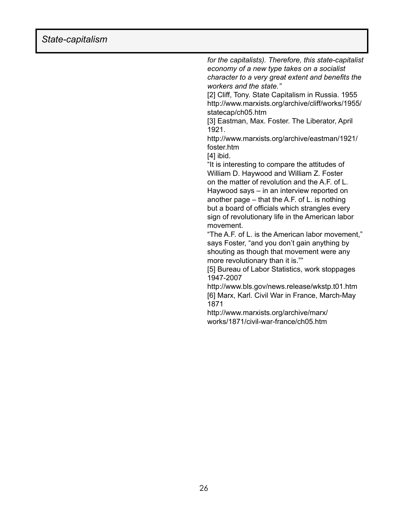*for the capitalists). Therefore, this state-capitalist economy of a new type takes on a socialist character to a very great extent and benefits the workers and the state."*

[2] Cliff, Tony. State Capitalism in Russia. 1955 http://www.marxists.org/archive/cliff/works/1955/ statecap/ch05.htm

[3] Eastman, Max. Foster. The Liberator, April 1921.

http://www.marxists.org/archive/eastman/1921/ foster.htm

[4] ibid.

"It is interesting to compare the attitudes of William D. Haywood and William Z. Foster on the matter of revolution and the A.F. of L. Haywood says – in an interview reported on another page – that the A.F. of L. is nothing but a board of officials which strangles every sign of revolutionary life in the American labor movement.

"The A.F. of L. is the American labor movement," says Foster, "and you don't gain anything by shouting as though that movement were any more revolutionary than it is.""

[5] Bureau of Labor Statistics, work stoppages 1947-2007

http://www.bls.gov/news.release/wkstp.t01.htm [6] Marx, Karl. Civil War in France, March-May 1871

http://www.marxists.org/archive/marx/ works/1871/civil-war-france/ch05.htm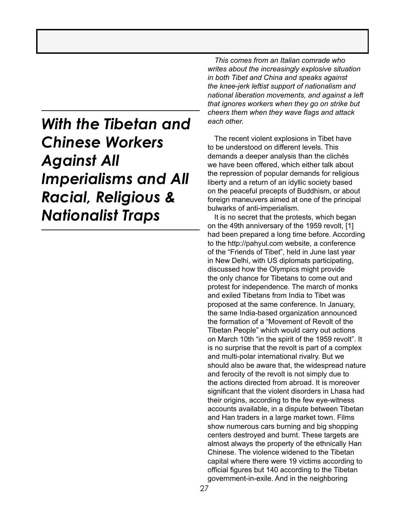### *With the Tibetan and Chinese Workers Against All Imperialisms and All Racial, Religious & Nationalist Traps*

*This comes from an Italian comrade who writes about the increasingly explosive situation in both Tibet and China and speaks against the knee-jerk leftist support of nationalism and national liberation movements, and against a left that ignores workers when they go on strike but cheers them when they wave flags and attack each other.* 

The recent violent explosions in Tibet have to be understood on different levels. This demands a deeper analysis than the clichés we have been offered, which either talk about the repression of popular demands for religious liberty and a return of an idyllic society based on the peaceful precepts of Buddhism, or about foreign maneuvers aimed at one of the principal bulwarks of anti-imperialism.

 It is no secret that the protests, which began on the 49th anniversary of the 1959 revolt, [1] had been prepared a long time before. According to the http://pahyul.com website, a conference of the "Friends of Tibet", held in June last year in New Delhi, with US diplomats participating, discussed how the Olympics might provide the only chance for Tibetans to come out and protest for independence. The march of monks and exiled Tibetans from India to Tibet was proposed at the same conference. In January, the same India-based organization announced the formation of a "Movement of Revolt of the Tibetan People" which would carry out actions on March 10th "in the spirit of the 1959 revolt". It is no surprise that the revolt is part of a complex and multi-polar international rivalry. But we should also be aware that, the widespread nature and ferocity of the revolt is not simply due to the actions directed from abroad. It is moreover significant that the violent disorders in Lhasa had their origins, according to the few eye-witness accounts available, in a dispute between Tibetan and Han traders in a large market town. Films show numerous cars burning and big shopping centers destroyed and burnt. These targets are almost always the property of the ethnically Han Chinese. The violence widened to the Tibetan capital where there were 19 victims according to official figures but 140 according to the Tibetan government-in-exile. And in the neighboring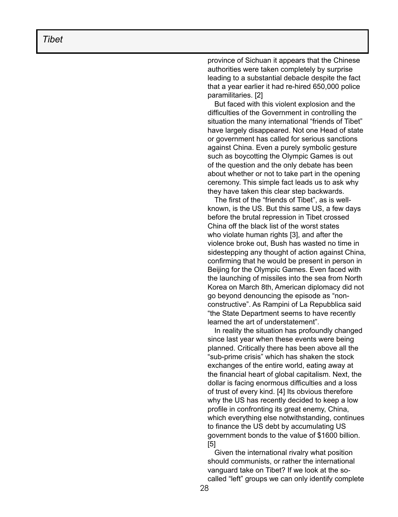province of Sichuan it appears that the Chinese authorities were taken completely by surprise leading to a substantial debacle despite the fact that a year earlier it had re-hired 650,000 police paramilitaries. [2]

But faced with this violent explosion and the difficulties of the Government in controlling the situation the many international "friends of Tibet" have largely disappeared. Not one Head of state or government has called for serious sanctions against China. Even a purely symbolic gesture such as boycotting the Olympic Games is out of the question and the only debate has been about whether or not to take part in the opening ceremony. This simple fact leads us to ask why they have taken this clear step backwards.

The first of the "friends of Tibet", as is wellknown, is the US. But this same US, a few days before the brutal repression in Tibet crossed China off the black list of the worst states who violate human rights [3], and after the violence broke out, Bush has wasted no time in sidestepping any thought of action against China, confirming that he would be present in person in Beijing for the Olympic Games. Even faced with the launching of missiles into the sea from North Korea on March 8th, American diplomacy did not go beyond denouncing the episode as "nonconstructive". As Rampini of La Repubblica said "the State Department seems to have recently learned the art of understatement".

In reality the situation has profoundly changed since last year when these events were being planned. Critically there has been above all the "sub-prime crisis" which has shaken the stock exchanges of the entire world, eating away at the financial heart of global capitalism. Next, the dollar is facing enormous difficulties and a loss of trust of every kind. [4] Its obvious therefore why the US has recently decided to keep a low profile in confronting its great enemy, China, which everything else notwithstanding, continues to finance the US debt by accumulating US government bonds to the value of \$1600 billion. [5]

Given the international rivalry what position should communists, or rather the international vanguard take on Tibet? If we look at the socalled "left" groups we can only identify complete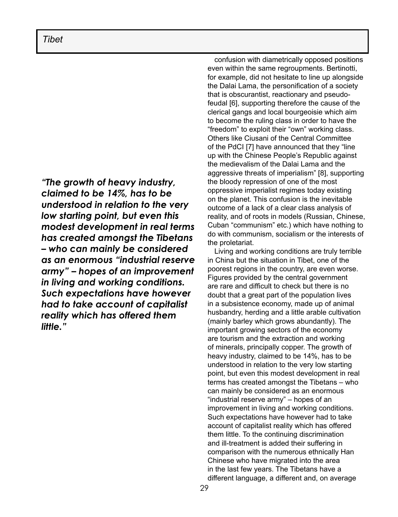### *Tibet*

*"The growth of heavy industry, claimed to be 14%, has to be understood in relation to the very low starting point, but even this modest development in real terms has created amongst the Tibetans – who can mainly be considered as an enormous "industrial reserve army" – hopes of an improvement in living and working conditions. Such expectations have however had to take account of capitalist reality which has offered them little."*

confusion with diametrically opposed positions even within the same regroupments. Bertinotti, for example, did not hesitate to line up alongside the Dalai Lama, the personification of a society that is obscurantist, reactionary and pseudofeudal [6], supporting therefore the cause of the clerical gangs and local bourgeoisie which aim to become the ruling class in order to have the "freedom" to exploit their "own" working class. Others like Ciusani of the Central Committee of the PdCI [7] have announced that they "line up with the Chinese People's Republic against the medievalism of the Dalai Lama and the aggressive threats of imperialism" [8], supporting the bloody repression of one of the most oppressive imperialist regimes today existing on the planet. This confusion is the inevitable outcome of a lack of a clear class analysis of reality, and of roots in models (Russian, Chinese, Cuban "communism" etc.) which have nothing to do with communism, socialism or the interests of the proletariat.

Living and working conditions are truly terrible in China but the situation in Tibet, one of the poorest regions in the country, are even worse. Figures provided by the central government are rare and difficult to check but there is no doubt that a great part of the population lives in a subsistence economy, made up of animal husbandry, herding and a little arable cultivation (mainly barley which grows abundantly). The important growing sectors of the economy are tourism and the extraction and working of minerals, principally copper. The growth of heavy industry, claimed to be 14%, has to be understood in relation to the very low starting point, but even this modest development in real terms has created amongst the Tibetans – who can mainly be considered as an enormous "industrial reserve army" – hopes of an improvement in living and working conditions. Such expectations have however had to take account of capitalist reality which has offered them little. To the continuing discrimination and ill-treatment is added their suffering in comparison with the numerous ethnically Han Chinese who have migrated into the area in the last few years. The Tibetans have a different language, a different and, on average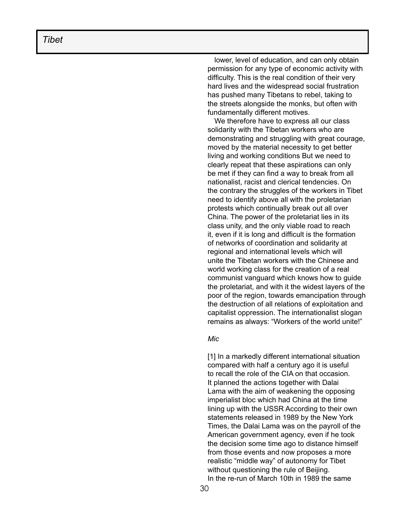lower, level of education, and can only obtain permission for any type of economic activity with difficulty. This is the real condition of their very hard lives and the widespread social frustration has pushed many Tibetans to rebel, taking to the streets alongside the monks, but often with fundamentally different motives.

We therefore have to express all our class solidarity with the Tibetan workers who are demonstrating and struggling with great courage, moved by the material necessity to get better living and working conditions But we need to clearly repeat that these aspirations can only be met if they can find a way to break from all nationalist, racist and clerical tendencies. On the contrary the struggles of the workers in Tibet need to identify above all with the proletarian protests which continually break out all over China. The power of the proletariat lies in its class unity, and the only viable road to reach it, even if it is long and difficult is the formation of networks of coordination and solidarity at regional and international levels which will unite the Tibetan workers with the Chinese and world working class for the creation of a real communist vanguard which knows how to guide the proletariat, and with it the widest layers of the poor of the region, towards emancipation through the destruction of all relations of exploitation and capitalist oppression. The internationalist slogan remains as always: "Workers of the world unite!"

#### *Mic*

[1] In a markedly different international situation compared with half a century ago it is useful to recall the role of the CIA on that occasion. It planned the actions together with Dalai Lama with the aim of weakening the opposing imperialist bloc which had China at the time lining up with the USSR According to their own statements released in 1989 by the New York Times, the Dalai Lama was on the payroll of the American government agency, even if he took the decision some time ago to distance himself from those events and now proposes a more realistic "middle way" of autonomy for Tibet without questioning the rule of Beijing. In the re-run of March 10th in 1989 the same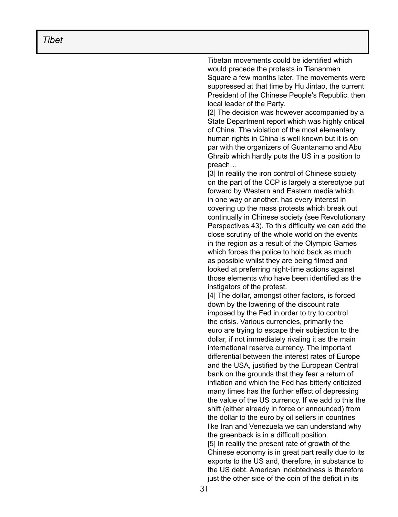Tibetan movements could be identified which would precede the protests in Tiananmen Square a few months later. The movements were suppressed at that time by Hu Jintao, the current President of the Chinese People's Republic, then local leader of the Party.

[2] The decision was however accompanied by a State Department report which was highly critical of China. The violation of the most elementary human rights in China is well known but it is on par with the organizers of Guantanamo and Abu Ghraib which hardly puts the US in a position to preach…

[3] In reality the iron control of Chinese society on the part of the CCP is largely a stereotype put forward by Western and Eastern media which, in one way or another, has every interest in covering up the mass protests which break out continually in Chinese society (see Revolutionary Perspectives 43). To this difficulty we can add the close scrutiny of the whole world on the events in the region as a result of the Olympic Games which forces the police to hold back as much as possible whilst they are being filmed and looked at preferring night-time actions against those elements who have been identified as the instigators of the protest.

[4] The dollar, amongst other factors, is forced down by the lowering of the discount rate imposed by the Fed in order to try to control the crisis. Various currencies, primarily the euro are trying to escape their subjection to the dollar, if not immediately rivaling it as the main international reserve currency. The important differential between the interest rates of Europe and the USA, justified by the European Central bank on the grounds that they fear a return of inflation and which the Fed has bitterly criticized many times has the further effect of depressing the value of the US currency. If we add to this the shift (either already in force or announced) from the dollar to the euro by oil sellers in countries like Iran and Venezuela we can understand why the greenback is in a difficult position. [5] In reality the present rate of growth of the Chinese economy is in great part really due to its exports to the US and, therefore, in substance to the US debt. American indebtedness is therefore just the other side of the coin of the deficit in its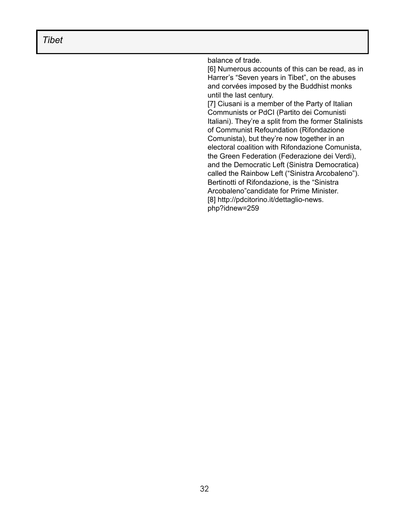*Tibet*

balance of trade.

[6] Numerous accounts of this can be read, as in Harrer's "Seven years in Tibet", on the abuses and corvées imposed by the Buddhist monks until the last century.

[7] Ciusani is a member of the Party of Italian Communists or PdCI (Partito dei Comunisti Italiani). They're a split from the former Stalinists of Communist Refoundation (Rifondazione Comunista), but they're now together in an electoral coalition with Rifondazione Comunista, the Green Federation (Federazione dei Verdi), and the Democratic Left (Sinistra Democratica) called the Rainbow Left ("Sinistra Arcobaleno"). Bertinotti of Rifondazione, is the "Sinistra Arcobaleno"candidate for Prime Minister. [8] http://pdcitorino.it/dettaglio-news. php?idnew=259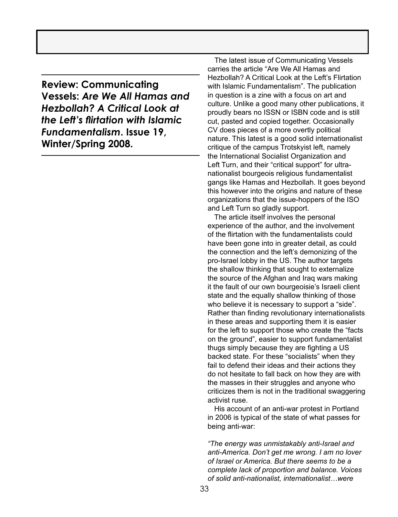**Review: Communicating Vessels:** *Are We All Hamas and Hezbollah? A Critical Look at the Left's flirtation with Islamic Fundamentalism***. Issue 19, Winter/Spring 2008.** 

The latest issue of Communicating Vessels carries the article "Are We All Hamas and Hezbollah? A Critical Look at the Left's Flirtation with Islamic Fundamentalism". The publication in question is a zine with a focus on art and culture. Unlike a good many other publications, it proudly bears no ISSN or ISBN code and is still cut, pasted and copied together. Occasionally CV does pieces of a more overtly political nature. This latest is a good solid internationalist critique of the campus Trotskyist left, namely the International Socialist Organization and Left Turn, and their "critical support" for ultranationalist bourgeois religious fundamentalist gangs like Hamas and Hezbollah. It goes beyond this however into the origins and nature of these organizations that the issue-hoppers of the ISO and Left Turn so gladly support.

 The article itself involves the personal experience of the author, and the involvement of the flirtation with the fundamentalists could have been gone into in greater detail, as could the connection and the left's demonizing of the pro-Israel lobby in the US. The author targets the shallow thinking that sought to externalize the source of the Afghan and Iraq wars making it the fault of our own bourgeoisie's Israeli client state and the equally shallow thinking of those who believe it is necessary to support a "side". Rather than finding revolutionary internationalists in these areas and supporting them it is easier for the left to support those who create the "facts on the ground", easier to support fundamentalist thugs simply because they are fighting a US backed state. For these "socialists" when they fail to defend their ideas and their actions they do not hesitate to fall back on how they are with the masses in their struggles and anyone who criticizes them is not in the traditional swaggering activist ruse.

 His account of an anti-war protest in Portland in 2006 is typical of the state of what passes for being anti-war:

*"The energy was unmistakably anti-Israel and anti-America. Don't get me wrong. I am no lover of Israel or America. But there seems to be a complete lack of proportion and balance. Voices of solid anti-nationalist, internationalist…were*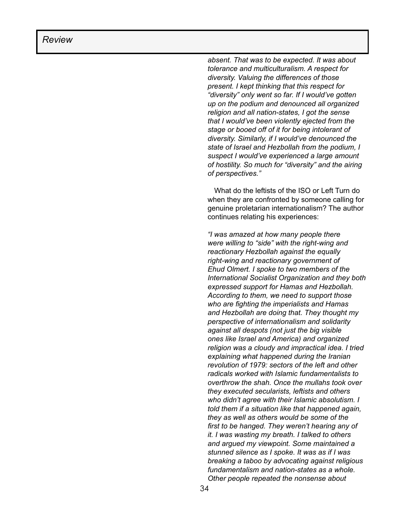*absent. That was to be expected. It was about tolerance and multiculturalism. A respect for diversity. Valuing the differences of those present. I kept thinking that this respect for "diversity" only went so far. If I would've gotten up on the podium and denounced all organized religion and all nation-states, I got the sense that I would've been violently ejected from the stage or booed off of it for being intolerant of diversity. Similarly, if I would've denounced the state of Israel and Hezbollah from the podium, I suspect I would've experienced a large amount of hostility. So much for "diversity" and the airing of perspectives."*

 What do the leftists of the ISO or Left Turn do when they are confronted by someone calling for genuine proletarian internationalism? The author continues relating his experiences:

*"I was amazed at how many people there were willing to "side" with the right-wing and reactionary Hezbollah against the equally right-wing and reactionary government of Ehud Olmert. I spoke to two members of the International Socialist Organization and they both expressed support for Hamas and Hezbollah. According to them, we need to support those who are fighting the imperialists and Hamas and Hezbollah are doing that. They thought my perspective of internationalism and solidarity against all despots (not just the big visible ones like Israel and America) and organized religion was a cloudy and impractical idea. I tried explaining what happened during the Iranian revolution of 1979: sectors of the left and other radicals worked with Islamic fundamentalists to overthrow the shah. Once the mullahs took over they executed secularists, leftists and others who didn't agree with their Islamic absolutism. I told them if a situation like that happened again, they as well as others would be some of the first to be hanged. They weren't hearing any of it. I was wasting my breath. I talked to others and argued my viewpoint. Some maintained a stunned silence as I spoke. It was as if I was breaking a taboo by advocating against religious fundamentalism and nation-states as a whole. Other people repeated the nonsense about*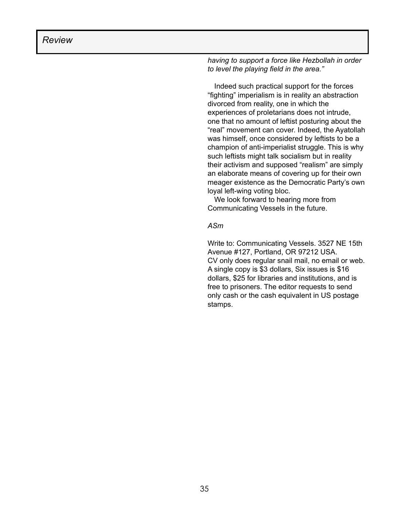*having to support a force like Hezbollah in order to level the playing field in the area."*

 Indeed such practical support for the forces "fighting" imperialism is in reality an abstraction divorced from reality, one in which the experiences of proletarians does not intrude, one that no amount of leftist posturing about the "real" movement can cover. Indeed, the Ayatollah was himself, once considered by leftists to be a champion of anti-imperialist struggle. This is why such leftists might talk socialism but in reality their activism and supposed "realism" are simply an elaborate means of covering up for their own meager existence as the Democratic Party's own loyal left-wing voting bloc.

 We look forward to hearing more from Communicating Vessels in the future.

#### *ASm*

Write to: Communicating Vessels. 3527 NE 15th Avenue #127, Portland, OR 97212 USA. CV only does regular snail mail, no email or web. A single copy is \$3 dollars, Six issues is \$16 dollars, \$25 for libraries and institutions, and is free to prisoners. The editor requests to send only cash or the cash equivalent in US postage stamps.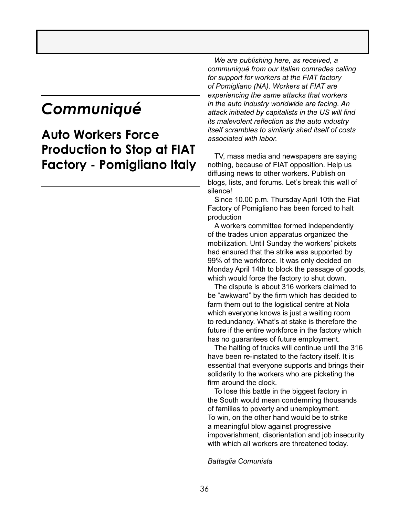### *Communiqué*

### **Auto Workers Force Production to Stop at FIAT Factory - Pomigliano Italy**

 *We are publishing here, as received, a communiqué from our Italian comrades calling for support for workers at the FIAT factory of Pomigliano (NA). Workers at FIAT are experiencing the same attacks that workers in the auto industry worldwide are facing. An attack initiated by capitalists in the US will find its malevolent reflection as the auto industry itself scrambles to similarly shed itself of costs associated with labor.*

TV, mass media and newspapers are saying nothing, because of FIAT opposition. Help us diffusing news to other workers. Publish on blogs, lists, and forums. Let's break this wall of silence!

Since 10.00 p.m. Thursday April 10th the Fiat Factory of Pomigliano has been forced to halt production

A workers committee formed independently of the trades union apparatus organized the mobilization. Until Sunday the workers' pickets had ensured that the strike was supported by 99% of the workforce. It was only decided on Monday April 14th to block the passage of goods, which would force the factory to shut down.

The dispute is about 316 workers claimed to be "awkward" by the firm which has decided to farm them out to the logistical centre at Nola which everyone knows is just a waiting room to redundancy. What's at stake is therefore the future if the entire workforce in the factory which has no guarantees of future employment.

The halting of trucks will continue until the 316 have been re-instated to the factory itself. It is essential that everyone supports and brings their solidarity to the workers who are picketing the firm around the clock.

To lose this battle in the biggest factory in the South would mean condemning thousands of families to poverty and unemployment. To win, on the other hand would be to strike a meaningful blow against progressive impoverishment, disorientation and job insecurity with which all workers are threatened today.

#### *Battaglia Comunista*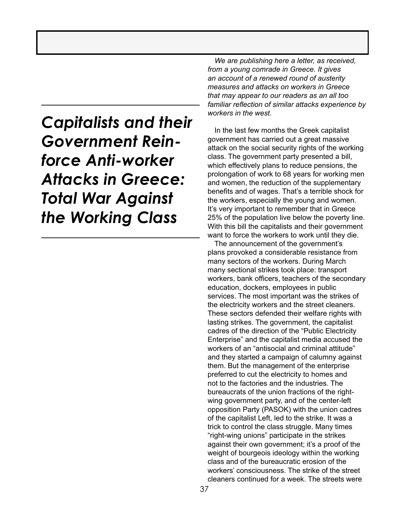### *Capitalists and their Government Reinforce Anti-worker Attacks in Greece: Total War Against the Working Class*

*We are publishing here a letter, as received, from a young comrade in Greece. It gives an account of a renewed round of austerity measures and attacks on workers in Greece that may appear to our readers as an all too familiar reflection of similar attacks experience by workers in the west.* 

In the last few months the Greek capitalist government has carried out a great massive attack on the social security rights of the working class. The government party presented a bill, which effectively plans to reduce pensions, the prolongation of work to 68 years for working men and women, the reduction of the supplementary benefits and of wages. That's a terrible shock for the workers, especially the young and women. It's very important to remember that in Greece 25% of the population live below the poverty line. With this bill the capitalists and their government want to force the workers to work until they die.

The announcement of the government's plans provoked a considerable resistance from many sectors of the workers. During March many sectional strikes took place: transport workers, bank officers, teachers of the secondary education, dockers, employees in public services. The most important was the strikes of the electricity workers and the street cleaners. These sectors defended their welfare rights with lasting strikes. The government, the capitalist cadres of the direction of the "Public Electricity Enterprise" and the capitalist media accused the workers of an "antisocial and criminal attitude" and they started a campaign of calumny against them. But the management of the enterprise preferred to cut the electricity to homes and not to the factories and the industries. The bureaucrats of the union fractions of the rightwing government party, and of the center-left opposition Party (PASOK) with the union cadres of the capitalist Left, led to the strike. It was a trick to control the class struggle. Many times "right-wing unions" participate in the strikes against their own government; it's a proof of the weight of bourgeois ideology within the working class and of the bureaucratic erosion of the workers' consciousness. The strike of the street cleaners continued for a week. The streets were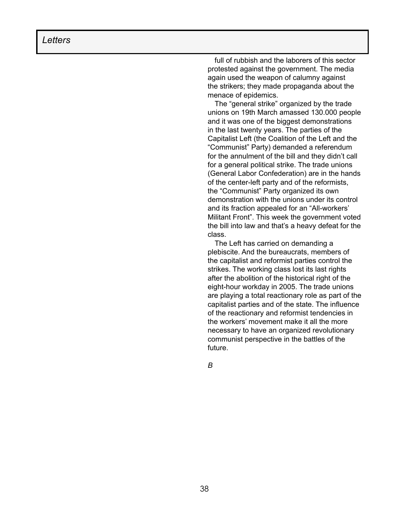full of rubbish and the laborers of this sector protested against the government. The media again used the weapon of calumny against the strikers; they made propaganda about the menace of epidemics.

The "general strike" organized by the trade unions on 19th March amassed 130.000 people and it was one of the biggest demonstrations in the last twenty years. The parties of the Capitalist Left (the Coalition of the Left and the "Communist" Party) demanded a referendum for the annulment of the bill and they didn't call for a general political strike. The trade unions (General Labor Confederation) are in the hands of the center-left party and of the reformists, the "Communist" Party organized its own demonstration with the unions under its control and its fraction appealed for an "All-workers' Militant Front". This week the government voted the bill into law and that's a heavy defeat for the class.

The Left has carried on demanding a plebiscite. And the bureaucrats, members of the capitalist and reformist parties control the strikes. The working class lost its last rights after the abolition of the historical right of the eight-hour workday in 2005. The trade unions are playing a total reactionary role as part of the capitalist parties and of the state. The influence of the reactionary and reformist tendencies in the workers' movement make it all the more necessary to have an organized revolutionary communist perspective in the battles of the future.

*B*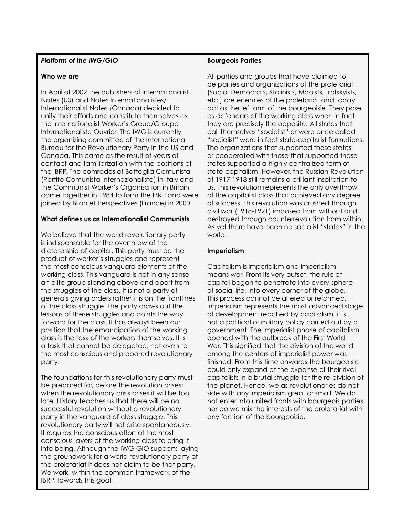#### $T_{\rm H}$  and  $T_{\rm H}$  and  $T_{\rm H}$  are  $T_{\rm H}$  the world, which the world, which the world, which the world, which the world, which the world, which the world, which the world, which the world, which the world, which the *Platform of the IWG/GIO*

#### **as we perform that the wear repeated in the set of early set of the set of the set of the set of the set of the set of the set of the set of the set of the set of the set of the set of the set of the set of the set of the**

In April of 2002 the publishers of Internationalist<br>Note that the contract in the contract of the contract of the contract of the contract of the contract of the notes <sub>(</sub>os) and notes imeritationalistes;<br>Internationalist Notes (Canada) decided to us" (Victor Serge – *Trente ans après la*  unify their efforts and constitute themselves as the Internationalist Worker's Group/Groupe Internationaliste Ouvrier. The IWG is currently the organizing committee of the International Boread for the kevolutionally range in the 63 and<br>Canada. This came as the result of years of can a series in the came to grief because it. the IBRP. The comrades of Battaglia Comunista (Partito Comunista Internazionalista) in Italy and the Communist Worker's Organisation in Britain *The Party of Lenin and Trotsky were shot,*  joined by Bilan et Perspectives (France) in 2000. Notes (US) and Notes Internationalistes/ Bureau for the Revolutionary Party in the US and came together in 1984 to form the IBRP and were

#### *documents were destroyed, hidden or falsi-***What defines us as Internationalist Communists**

is indisperisable for the overnhow of the<br>dictatorship of capital. This party must be the enceled the state of the horrors of the horrors of the horrors of the product of worker's struggles and represent the most conscious vanguard elements of the working class. This vanguard is not in any sense an elite group standing above and apart from<br>... me shoggles or me class. In short a party or<br>generals giving orders rather it is on the frontlines generally giving eractorium of the channels of the class struggle. The party draws out the lessons of these struggles and points the way forward for the class. It has always been our position that the emancipation of the working of hope was put out since the international a task that cannot be delegated, not even to revolution failed. This is a tragedy for hu-the most conscious and prepared revolutionary  $\mathsf{p}$  and the working class. A tragedy to  $\mathsf{p}$ We believe that the world revolutionary party is indispensable for the overthrow of the the struggles of the class. It is not a party of class is the task of the workers themselves. It is party.

The foundations for this revolutionary party must<br>. be prepared for, before the revolution diffes,<br>when the revolutionary crisis arises it will be too menting reversions, and since the unit series. successful revolution without a revolutionary party in the vanguard of class struggle. This revolutionary party will not arise spontaneously.<br>... mequies the conscious enon of the must<br>conscious layers of the working class to bring it the groundwork for a world revolutionary party of the proletariat it does not claim to be that party. We work, within the common framework of the profit of the profit of the profit of the profit of the  $\mu$ IBRP, towards this goal. be prepared for, before the revolution arises; It requires the conscious effort of the most into being. Although the IWG-GIO supports laying

#### **Bourgeois Parties**

All parties and groups that have claimed to be parties and organizations of the proletariat (Social Democrats, Stalinists, Maoists, Trotskyists, etc.) are enemies of the proletariat and today act as the left arm of the bourgeoisie. They pose as defenders of the working class when in fact they are precisely the opposite. All states that call themselves "socialist" or were once called "socialist" were in fact state-capitalist formations. The organizations that supported these states or cooperated with those that supported those states supported a highly centralized form of state-capitalism. However, the Russian Revolution of 1917-1918 still remains a brilliant inspiration to us. This revolution represents the only overthrow of the capitalist class that achieved any degree of success. This revolution was crushed through civil war (1918-1921) imposed from without and destroyed through counterrevolution from within. As yet there have been no socialist "states" in the world.

#### **Imperialism**

Capitalism is imperialism and imperialism means war. From its very outset, the rule of capital began to penetrate into every sphere of social life, into every corner of the globe. This process cannot be altered or reformed. Imperialism represents the most advanced stage of development reached by capitalism, it is not a political or military policy carried out by a government. The imperialist phase of capitalism opened with the outbreak of the First World War. This signified that the division of the world among the centers of imperialist power was finished. From this time onwards the bourgeoisie could only expand at the expense of their rival capitalists in a brutal struggle for the re-division of the planet. Hence, we as revolutionaries do not side with any imperialism great or small. We do not enter into united fronts with bourgeois parties nor do we mix the interests of the proletariat with any faction of the bourgeoisie.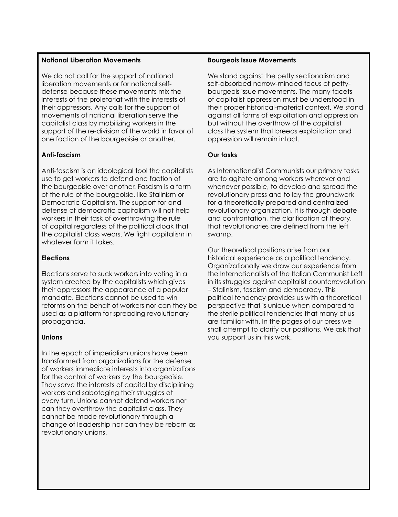### The October Revolution shook the world, **National Liberation Movements**

We do not call for the support of national we do not call for the support of national<br>liberation movements or for national selfdefense because these movements mix the interests of the proletariat with the interests of their oppressors. Any calls for the support of movements of national liberation serve the caphalist class by mobilizing workers in the<br>support of the re-division of the world in favor of support of the to ansiem of the world three. The fact that the first proletarian revolution capitalist class by mobilizing workers in the

### came to grief because it was unable to win **Anti-fascism**

Anti-fascism is an ideological tool the capitalists Ann-iascism is an ideological fool me capitalists<br>use to get workers to defend one faction of ity. But what happened after 1917? the bourgeoisie over another. Fascism is a form *The Party of Lenin and Trotsky were shot,*  Democratic Capitalism. The support for and *documents were destroyed, hidden or falsi-*defense of democratic capitalism will not help *fied (idem Victor Serge)* of capital regardless of the political cloak that whatever form it takes. of the rule of the bourgeoisie, like Stalinism or workers in their task of overthrowing the rule the capitalist class wears. We fight capitalism in

#### the Second War, then the Second War, then the "Cold War, then the "Cold War, then the "Cold" War, then the "Co **Elections**

Elections serve to suck workers into voting in a system created by the capitalists which gives their oppressors the appearance of a popular mandate. Elections cannot be used to win reforms on the behalf of workers nor can they be used as a platform for spreading revolutionary<br>prepaganda been able to rediscover peace). The spark propaganda.

### of hope was put out since the international **Unions**

In the epoch of imperialism unions have been nansionned nom organizations for the deterneer<br>of workers immediate interests into organizations of workers immigatate impressioning ergamizations They serve the interests of capital by disciplining workers and sabotaging their struggles at every turn. Unions cannot defend workers nor can mey overmow me caphalist class, mey<br>cannot be made revolutionary through a behind be made to referrence, through a revolutionary unions. transformed from organizations for the defense can they overthrow the capitalist class. They

#### **Bourgeois Issue Movements**

We stand against the petty sectionalism and self-absorbed narrow-minded focus of pettybourgeois issue movements. The many facets of capitalist oppression must be understood in their proper historical-material context. We stand against all forms of exploitation and oppression but without the overthrow of the capitalist class the system that breeds exploitation and oppression will remain intact.

#### **Our tasks**

As Internationalist Communists our primary tasks are to agitate among workers wherever and whenever possible, to develop and spread the revolutionary press and to lay the groundwork for a theoretically prepared and centralized revolutionary organization. It is through debate and confrontation, the clarification of theory, that revolutionaries are defined from the left swamp.

Our theoretical positions arise from our historical experience as a political tendency. Organizationally we draw our experience from the Internationalists of the Italian Communist Left in its struggles against capitalist counterrevolution – Stalinism, fascism and democracy. This political tendency provides us with a theoretical perspective that is unique when compared to the sterile political tendencies that many of us are familiar with. In the pages of our press we shall attempt to clarify our positions. We ask that you support us in this work.